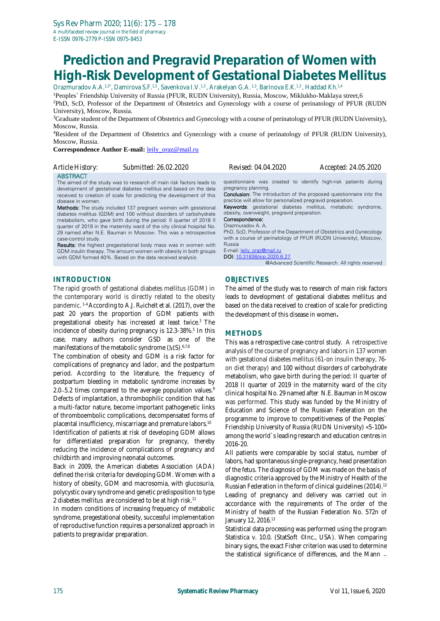# **Prediction and Pregravid Preparation of Women with High-Risk Development of Gestational Diabetes Mellitus**

Orazmuradov A.A.<sup>1,2\*</sup>, Damirova S.F.<sup>1,3</sup>, Savenkova I.V.<sup>1,3</sup>, Arakelyan G.A.<sup>1,3</sup>, Barinova E.K.<sup>1,3</sup>, Haddad Kh.<sup>1,4</sup>

<sup>1</sup>Peoples` Friendship University of Russia (PFUR, RUDN University), Russia, Moscow, Miklukho-Maklaya street,6 <sup>2</sup>PhD, ScD, Professor of the Department of Obstetrics and Gynecology with a course of perinatology of PFUR (RUDN University), Moscow, Russia.

<sup>3</sup>Graduate student of the Department of Obstetrics and Gynecology with a course of perinatology of PFUR (RUDN University), Moscow, Russia.

<sup>4</sup>Resident of the Department of Obstetrics and Gynecology with a course of perinatology of PFUR (RUDN University), Moscow, Russia.

**Correspondence Author E-mail:** [leily\\_oraz@mail.ru](mailto:leily_oraz@mail.ru)

| Article History:                                            | Submitted: 26.02.2020                                                                                                                                                                                                                                                                                                                                                                                                                                                                                                                                                                                                                                                                                                                                                                            | Revised: 04.04.2020                                                                                                                                                                                                                                                                                                                                                                                                                                                                                                                                                                                                | Accepted: 24.05.2020                               |
|-------------------------------------------------------------|--------------------------------------------------------------------------------------------------------------------------------------------------------------------------------------------------------------------------------------------------------------------------------------------------------------------------------------------------------------------------------------------------------------------------------------------------------------------------------------------------------------------------------------------------------------------------------------------------------------------------------------------------------------------------------------------------------------------------------------------------------------------------------------------------|--------------------------------------------------------------------------------------------------------------------------------------------------------------------------------------------------------------------------------------------------------------------------------------------------------------------------------------------------------------------------------------------------------------------------------------------------------------------------------------------------------------------------------------------------------------------------------------------------------------------|----------------------------------------------------|
| <b>ABSTRACT</b><br>disease in women.<br>case-control study. | The aimed of the study was to research of main risk factors leads to<br>development of gestational diabetes mellitus and based on the data<br>received to creation of scale for predicting the development of this<br><b>Methods:</b> The study included 137 pregnant women with gestational<br>diabetes mellitus (GDM) and 100 without disorders of carbohydrate<br>metabolism, who gave birth during the period: Il quarter of 2018 II<br>quarter of 2019 in the maternity ward of the city clinical hospital No.<br>29 named after N.E. Bauman in Moscow. This was a retrospective<br><b>Results:</b> the highest pregestational body mass was in women with<br>GDM insulin therapy. The amount women with obesity in both groups<br>with GDM formed 40%. Based on the data received analysis | questionnaire was created to identify high-risk patients during<br>pregnancy planning.<br><b>Conclusion:</b> The introduction of the proposed questionnaire into the<br>practice will allow for personalized pregravid preparation.<br><b>Keywords:</b> gestational diabetes mellitus, metabolic syndrome,<br>obesity, overweight, pregravid preparation.<br>Correspondence:<br>Orazmuradov A. A.<br>PhD, ScD, Professor of the Department of Obstetrics and Gynecology<br>with a course of perinatology of PFUR (RUDN University), Moscow,<br>Russia<br>E-mail: leily oraz@mail.ru<br>DOI: 10.31838/srp.2020.6.27 | @Advanced Scientific Research. All rights reserved |
|                                                             |                                                                                                                                                                                                                                                                                                                                                                                                                                                                                                                                                                                                                                                                                                                                                                                                  |                                                                                                                                                                                                                                                                                                                                                                                                                                                                                                                                                                                                                    |                                                    |

## **INTRODUCTION**

The rapid growth of gestational diabetes mellitus (GDM) in the contemporary world is directly related to the obesity pandemic. <sup>1-4</sup> According to A.J. Reichelt et al. (2017), over the past 20 years the proportion of GDM patients with pregestational obesity has increased at least twice.<sup>3</sup> The incidence of obesity during pregnancy is 12.3-38%.<sup>5</sup> In this case, many authors consider GSD as one of the manifestations of the metabolic syndrome  $(MS)$ .<sup>6,7,8</sup>

The combination of obesity and GDM is a risk factor for complications of pregnancy and lador, and the postpartum period. According to the literature, the frequency of postpartum bleeding in metabolic syndrome increases by 2.0-5.2 times compared to the average population values.<sup>9</sup> Defects of implantation, a thrombophilic condition that has a multi-factor nature, become important pathogenetic links of thromboembolic complications, decompensated forms of placental insufficiency, miscarriage and premature labors. 10

Identification of patients at risk of developing GDM allows for differentiated preparation for pregnancy, thereby reducing the incidence of complications of pregnancy and childbirth and improving neonatal outcomes.

Back in 2009, the American diabetes Association (ADA) defined the risk criteria for developing GDM. Women with a history of obesity, GDM and macrosomia, with glucosuria, polycystic ovary syndrome and genetic predisposition to type 2 diabetes mellitus are considered to be at high risk. 11

In modern conditions of increasing frequency of metabolic syndrome, pregestational obesity, successful implementation of reproductive function requires a personalized approach in patients to pregravidar preparation.

**OBJECTIVES**

The aimed of the study was to research of main risk factors leads to development of gestational diabetes mellitus and based on the data received to creation of scale for predicting the development of this disease in women**.**

## **METHODS**

This was a retrospective case-control study. A retrospective analysis of the course of pregnancy and labors in 137 women with gestational diabetes mellitus (61-on insulin therapy, 76 on diet therapy) and 100 without disorders of carbohydrate metabolism, who gave birth during the period: II quarter of 2018 II quarter of 2019 in the maternity ward of the city clinical hospital No. 29 named after N.E. Bauman in Moscow was performed. This study was funded by the Ministry of Education and Science of the Russian Federation on the programme to improve to competitiveness of the Peoples` Friendship University of Russia (RUDN University) «5-100» among the world`s leading research and education centres in 2016-20.

All patients were comparable by social status, number of labors, had spontaneous single-pregnancy, head presentation of the fetus. The diagnosis of GDM was made on the basis of diagnostic criteria approved by the Ministry of Health of the Russian Federation in the form of clinical guidelines (2014).<sup>12</sup> Leading of pregnancy and delivery was carried out in accordance with the requirements of The order of the Ministry of health of the Russian Federation No. 572n of January 12, 2016.<sup>13</sup>

Statistical data processing was performed using the program Statistica v. 10.0. (StatSoft ©Inc., USA). When comparing binary signs, the exact Fisher criterion was used to determine the statistical significance of differences, and the Mann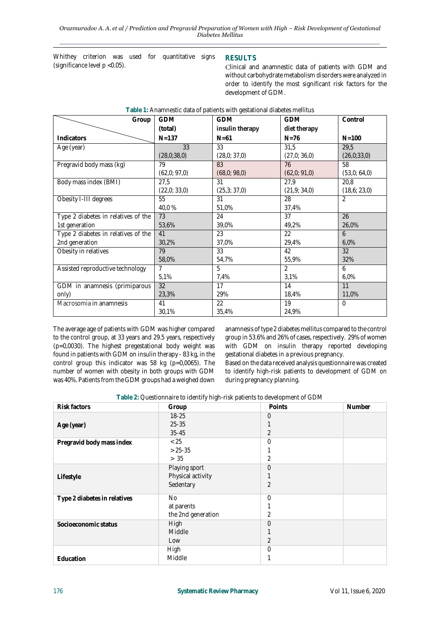**Table 1:** Anamnestic data of patients with gestational diabetes mellitus

Whithey criterion was used for quantitative signs (significance level p <0.05).

## **RESULTS**

Clinical and anamnestic data of patients with GDM and without carbohydrate metabolism disorders were analyzed in order to identify the most significant risk factors for the development of GDM.

| Group                               | <b>GDM</b>     | <b>GDM</b>      | <b>GDM</b>     | Control      |
|-------------------------------------|----------------|-----------------|----------------|--------------|
|                                     | (total)        | insulin therapy | diet therapy   |              |
| Indicators                          | $N = 137$      | $N = 61$        | $N = 76$       | $N = 100$    |
| Age (year)                          | 33             | 33              | 31,5           | 29.5         |
|                                     | (28,0;38,0)    | (28,0; 37,0)    | (27,0; 36,0)   | (26,0;33,0)  |
| Pregravid body mass (kg)            | 79             | 83              | 76             | 58           |
|                                     | (62,0; 97,0)   | (68,0;98,0)     | (62,0; 91,0)   | (53,0; 64,0) |
| Body mass index (BMI)               | 27,5           | 31              | 27,9           | 20,8         |
|                                     | (22,0; 33,0)   | (25,3; 37,0)    | (21,9; 34,0)   | (18,6; 23,0) |
| Obesity I-III degrees               | 55             | 31              | 28             | 2            |
|                                     | 40,0%          | 51,0%           | 37,4%          |              |
| Type 2 diabetes in relatives of the | 73             | 24              | 37             | 26           |
| 1st generation                      | 53,6%          | 39,0%           | 49,2%          | 26,0%        |
| Type 2 diabetes in relatives of the | 41             | 23              | 22             | 6            |
| 2nd generation                      | 30,2%          | 37,0%           | 29,4%          | 6,0%         |
| Obesity in relatives                | 79             | 33              | 42             | 32           |
|                                     | 58,0%          | 54,7%           | 55,9%          | 32%          |
| Assisted reproductive technology    | $\overline{7}$ | 5               | $\overline{2}$ | 6            |
|                                     | 5,1%           | 7,4%            | 3,1%           | 6,0%         |
| GDM in anamnesis (primiparous       | 32             | 17              | 14             | 11           |
| only)                               | 23,3%          | 29%             | 18,4%          | 11,0%        |
| Macrosomia in anamnesis             | 41             | 22              | 19             | $\Omega$     |
|                                     | 30,1%          | 35,4%           | 24,9%          |              |

The average age of patients with GDM was higher compared to the control group, at 33 years and 29.5 years, respectively (p=0,0030). The highest pregestational body weight was found in patients with GDM on insulin therapy - 83 kg, in the control group this indicator was 58 kg (p=0,0065). The number of women with obesity in both groups with GDM was 40%. Patients from the GDM groups had a weighed down anamnesis of type 2 diabetes mellitus compared to the control group in 53.6% and 26% of cases, respectively. 29% of women with GDM on insulin therapy reported developing gestational diabetes in a previous pregnancy.

Based on the data received analysis questionnaire was created to identify high-risk patients to development of GDM on during pregnancy planning.

| Risk factors                 | Group              | Points         | Number |
|------------------------------|--------------------|----------------|--------|
|                              | $18 - 25$          | $\overline{0}$ |        |
| Age (year)                   | $25 - 35$          |                |        |
|                              | $35 - 45$          | $\overline{2}$ |        |
| Pregravid body mass index    | < 25               | $\Omega$       |        |
|                              | $> 25 - 35$        |                |        |
|                              | > 35               | 2              |        |
|                              | Playing sport      | $\overline{0}$ |        |
| Lifestyle                    | Physical activity  |                |        |
|                              | Sedentary          | $\overline{2}$ |        |
| Type 2 diabetes in relatives | <b>No</b>          | $\overline{0}$ |        |
|                              | at parents         |                |        |
|                              | the 2nd generation | $\overline{2}$ |        |
| Socioeconomic status         | High               | $\overline{0}$ |        |
|                              | Middle             |                |        |
|                              | Low                | 2              |        |
|                              | High               | $\overline{0}$ |        |
| Education                    | Middle             |                |        |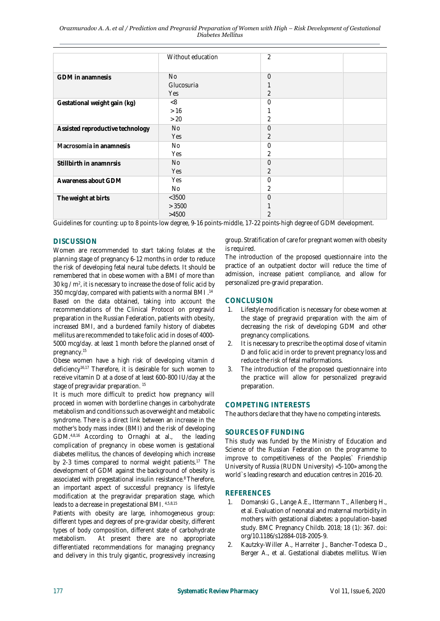|                                  | Without education | $\overline{2}$           |
|----------------------------------|-------------------|--------------------------|
| GDM in anamnesis                 | <b>No</b>         | $\overline{0}$           |
|                                  | Glucosuria        |                          |
|                                  | Yes               | $\overline{2}$           |
| Gestational weight gain (kg)     | < 8               | $\overline{0}$           |
|                                  | >16               |                          |
|                                  | >20               | $\overline{2}$           |
| Assisted reproductive technology | <b>No</b>         | $\overline{0}$           |
|                                  | Yes               | $\overline{2}$           |
| Macrosomia in anamnesis          | No                | $\overline{0}$           |
|                                  | Yes               | $\overline{2}$           |
| Stillbirth in anamnrsis          | <b>No</b>         | $\overline{0}$           |
|                                  | Yes               | 2                        |
| Awareness about GDM              | Yes               | $\overline{0}$           |
|                                  | No                | 2                        |
| The weight at birts              | $<$ 3500          | $\overline{0}$           |
|                                  | > 3500            |                          |
|                                  | >4500             | $\overline{\mathcal{L}}$ |

Guidelines for counting: up to 8 points-low degree, 9-16 points-middle, 17-22 points-high degree of GDM development.

# **DISCUSSION**

Women are recommended to start taking folates at the planning stage of pregnancy 6-12 months in order to reduce the risk of developing fetal neural tube defects. It should be remembered that in obese women with a BMI of more than 30 kg  $\prime$  m<sup>2</sup>, it is necessary to increase the dose of folic acid by 350 mcg/day, compared with patients with a normal BMI .<sup>14</sup> Based on the data obtained, taking into account the recommendations of the Clinical Protocol on pregravid preparation in the Russian Federation, patients with obesity, increased BMI, and a burdened family history of diabetes mellitus are recommended to take folic acid in doses of 4000- 5000 mcg/day. at least 1 month before the planned onset of pregnancy.<sup>15</sup>

Obese women have a high risk of developing vitamin d deficiency16,17 Therefore, it is desirable for such women to receive vitamin D at a dose of at least 600-800 IU/day at the stage of pregravidar preparation. 15

It is much more difficult to predict how pregnancy will proceed in women with borderline changes in carbohydrate metabolism and conditions such as overweight and metabolic syndrome. There is a direct link between an increase in the mother's body mass index (BMI) and the risk of developing GDM.4,8,16 According to Ornaghi at al., the leading complication of pregnancy in obese women is gestational diabetes mellitus, the chances of developing which increase by 2-3 times compared to normal weight patients.<sup>17</sup> The development of GDM against the background of obesity is associated with pregestational insulin resistance. <sup>8</sup>Therefore, an important aspect of successful pregnancy is lifestyle modification at the pregravidar preparation stage, which leads to a decrease in pregestational BMI. 4,5,8,15

Patients with obesity are large, inhomogeneous group: different types and degrees of pre-gravidar obesity, different types of body composition, different state of carbohydrate metabolism. At present there are no appropriate differentiated recommendations for managing pregnancy and delivery in this truly gigantic, progressively increasing group. Stratification of care for pregnant women with obesity is required.

The introduction of the proposed questionnaire into the practice of an outpatient doctor will reduce the time of admission, increase patient compliance, and allow for personalized pre-gravid preparation.

## **CONCLUSION**

- 1. Lifestyle modification is necessary for obese women at the stage of pregravid preparation with the aim of decreasing the risk of developing GDM and other pregnancy complications.
- 2. It is necessary to prescribe the optimal dose of vitamin D and folic acid in order to prevent pregnancy loss and reduce the risk of fetal malformations.
- 3. The introduction of the proposed questionnaire into the practice will allow for personalized pregravid preparation.

## **COMPETING INTERESTS**

The authors declare that they have no competing interests.

## **SOURCES OF FUNDING**

This study was funded by the Ministry of Education and Science of the Russian Federation on the programme to improve to competitiveness of the Peoples` Friendship University of Russia (RUDN University) «5-100» among the world`s leading research and education centres in 2016-20.

## **REFERENCES**

- 1. Domanski G., Lange A.E., Ittermann T., Allenberg H., et al. Evaluation of neonatal and maternal morbidity in mothers with gestational diabetes: a population-based study. BMC Pregnancy Childb. 2018; 18 (1): 367. doi: org/10.1186/s12884-018-2005-9.
- 2. Kautzky-Willer A., Harreiter J., Bancher-Todesca D., Berger A., et al. Gestational diabetes mellitus. Wien